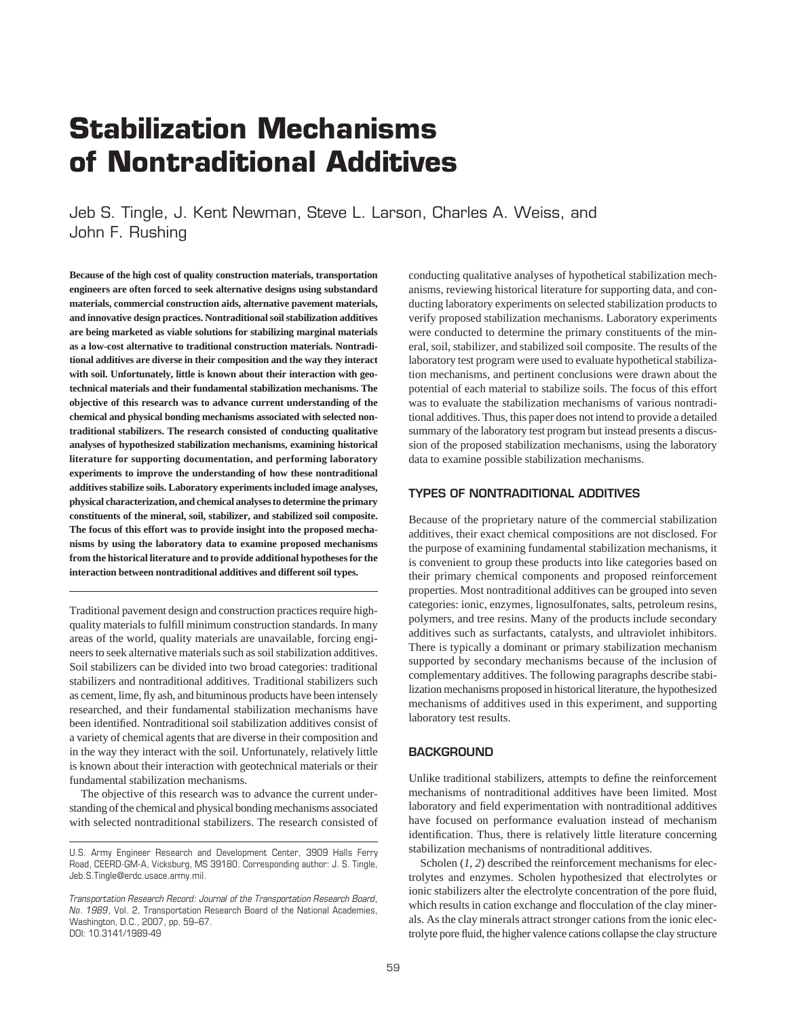# **Stabilization Mechanisms of Nontraditional Additives**

Jeb S. Tingle, J. Kent Newman, Steve L. Larson, Charles A. Weiss, and John F. Rushing

**Because of the high cost of quality construction materials, transportation engineers are often forced to seek alternative designs using substandard materials, commercial construction aids, alternative pavement materials, and innovative design practices. Nontraditional soil stabilization additives are being marketed as viable solutions for stabilizing marginal materials as a low-cost alternative to traditional construction materials. Nontraditional additives are diverse in their composition and the way they interact with soil. Unfortunately, little is known about their interaction with geotechnical materials and their fundamental stabilization mechanisms. The objective of this research was to advance current understanding of the chemical and physical bonding mechanisms associated with selected nontraditional stabilizers. The research consisted of conducting qualitative analyses of hypothesized stabilization mechanisms, examining historical literature for supporting documentation, and performing laboratory experiments to improve the understanding of how these nontraditional additives stabilize soils. Laboratory experiments included image analyses, physical characterization, and chemical analyses to determine the primary constituents of the mineral, soil, stabilizer, and stabilized soil composite. The focus of this effort was to provide insight into the proposed mechanisms by using the laboratory data to examine proposed mechanisms from the historical literature and to provide additional hypotheses for the interaction between nontraditional additives and different soil types.**

Traditional pavement design and construction practices require highquality materials to fulfill minimum construction standards. In many areas of the world, quality materials are unavailable, forcing engineers to seek alternative materials such as soil stabilization additives. Soil stabilizers can be divided into two broad categories: traditional stabilizers and nontraditional additives. Traditional stabilizers such as cement, lime, fly ash, and bituminous products have been intensely researched, and their fundamental stabilization mechanisms have been identified. Nontraditional soil stabilization additives consist of a variety of chemical agents that are diverse in their composition and in the way they interact with the soil. Unfortunately, relatively little is known about their interaction with geotechnical materials or their fundamental stabilization mechanisms.

The objective of this research was to advance the current understanding of the chemical and physical bonding mechanisms associated with selected nontraditional stabilizers. The research consisted of

conducting qualitative analyses of hypothetical stabilization mechanisms, reviewing historical literature for supporting data, and conducting laboratory experiments on selected stabilization products to verify proposed stabilization mechanisms. Laboratory experiments were conducted to determine the primary constituents of the mineral, soil, stabilizer, and stabilized soil composite. The results of the laboratory test program were used to evaluate hypothetical stabilization mechanisms, and pertinent conclusions were drawn about the potential of each material to stabilize soils. The focus of this effort was to evaluate the stabilization mechanisms of various nontraditional additives. Thus, this paper does not intend to provide a detailed summary of the laboratory test program but instead presents a discussion of the proposed stabilization mechanisms, using the laboratory data to examine possible stabilization mechanisms.

## **TYPES OF NONTRADITIONAL ADDITIVES**

Because of the proprietary nature of the commercial stabilization additives, their exact chemical compositions are not disclosed. For the purpose of examining fundamental stabilization mechanisms, it is convenient to group these products into like categories based on their primary chemical components and proposed reinforcement properties. Most nontraditional additives can be grouped into seven categories: ionic, enzymes, lignosulfonates, salts, petroleum resins, polymers, and tree resins. Many of the products include secondary additives such as surfactants, catalysts, and ultraviolet inhibitors. There is typically a dominant or primary stabilization mechanism supported by secondary mechanisms because of the inclusion of complementary additives. The following paragraphs describe stabilization mechanisms proposed in historical literature, the hypothesized mechanisms of additives used in this experiment, and supporting laboratory test results.

### **BACKGROUND**

Unlike traditional stabilizers, attempts to define the reinforcement mechanisms of nontraditional additives have been limited. Most laboratory and field experimentation with nontraditional additives have focused on performance evaluation instead of mechanism identification. Thus, there is relatively little literature concerning stabilization mechanisms of nontraditional additives.

Scholen (*1, 2*) described the reinforcement mechanisms for electrolytes and enzymes. Scholen hypothesized that electrolytes or ionic stabilizers alter the electrolyte concentration of the pore fluid, which results in cation exchange and flocculation of the clay minerals. As the clay minerals attract stronger cations from the ionic electrolyte pore fluid, the higher valence cations collapse the clay structure

U.S. Army Engineer Research and Development Center, 3909 Halls Ferry Road, CEERD-GM-A, Vicksburg, MS 39180. Corresponding author: J. S. Tingle, Jeb.S.Tingle@erdc.usace.army.mil.

*Transportation Research Record: Journal of the Transportation Research Board, No. 1989,* Vol. 2, Transportation Research Board of the National Academies, Washington, D.C., 2007, pp. 59–67. DOI: 10.3141/1989-49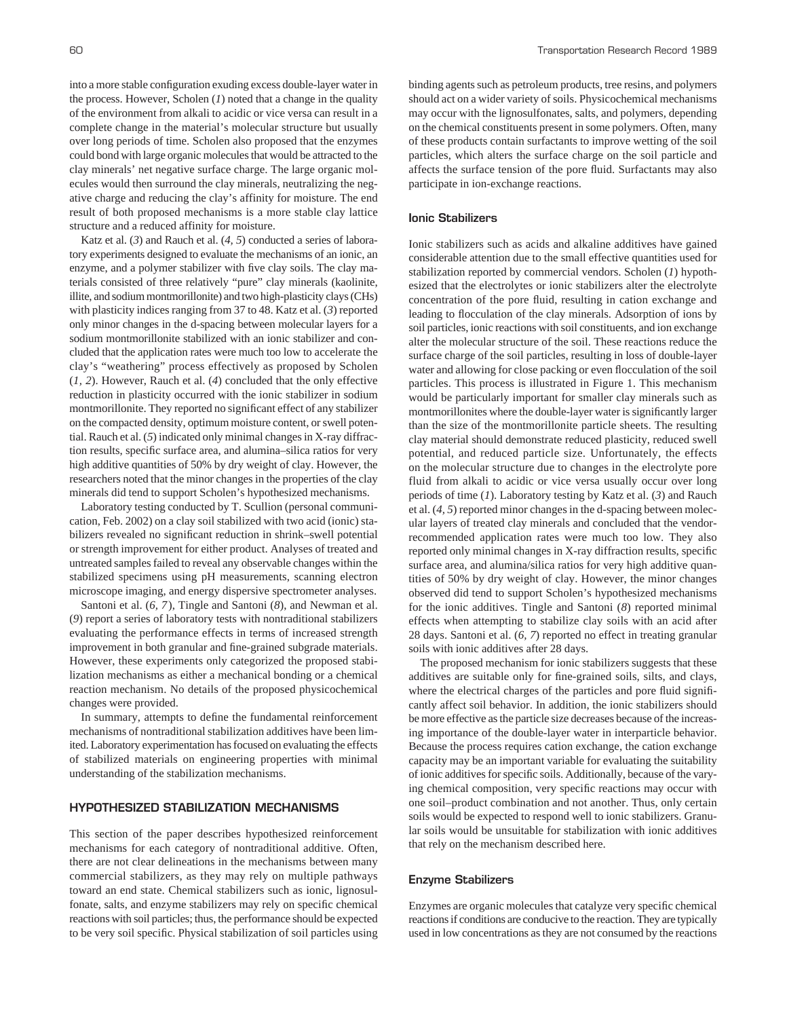into a more stable configuration exuding excess double-layer water in the process. However, Scholen (*1*) noted that a change in the quality of the environment from alkali to acidic or vice versa can result in a complete change in the material's molecular structure but usually over long periods of time. Scholen also proposed that the enzymes could bond with large organic molecules that would be attracted to the clay minerals' net negative surface charge. The large organic molecules would then surround the clay minerals, neutralizing the negative charge and reducing the clay's affinity for moisture. The end result of both proposed mechanisms is a more stable clay lattice structure and a reduced affinity for moisture.

Katz et al. (*3*) and Rauch et al. (*4, 5*) conducted a series of laboratory experiments designed to evaluate the mechanisms of an ionic, an enzyme, and a polymer stabilizer with five clay soils. The clay materials consisted of three relatively "pure" clay minerals (kaolinite, illite, and sodium montmorillonite) and two high-plasticity clays (CHs) with plasticity indices ranging from 37 to 48. Katz et al. (*3*) reported only minor changes in the d-spacing between molecular layers for a sodium montmorillonite stabilized with an ionic stabilizer and concluded that the application rates were much too low to accelerate the clay's "weathering" process effectively as proposed by Scholen (*1, 2*). However, Rauch et al. (*4*) concluded that the only effective reduction in plasticity occurred with the ionic stabilizer in sodium montmorillonite. They reported no significant effect of any stabilizer on the compacted density, optimum moisture content, or swell potential. Rauch et al. (*5*) indicated only minimal changes in X-ray diffraction results, specific surface area, and alumina–silica ratios for very high additive quantities of 50% by dry weight of clay. However, the researchers noted that the minor changes in the properties of the clay minerals did tend to support Scholen's hypothesized mechanisms.

Laboratory testing conducted by T. Scullion (personal communication, Feb. 2002) on a clay soil stabilized with two acid (ionic) stabilizers revealed no significant reduction in shrink–swell potential or strength improvement for either product. Analyses of treated and untreated samples failed to reveal any observable changes within the stabilized specimens using pH measurements, scanning electron microscope imaging, and energy dispersive spectrometer analyses.

Santoni et al. (*6, 7*), Tingle and Santoni (*8*), and Newman et al. (*9*) report a series of laboratory tests with nontraditional stabilizers evaluating the performance effects in terms of increased strength improvement in both granular and fine-grained subgrade materials. However, these experiments only categorized the proposed stabilization mechanisms as either a mechanical bonding or a chemical reaction mechanism. No details of the proposed physicochemical changes were provided.

In summary, attempts to define the fundamental reinforcement mechanisms of nontraditional stabilization additives have been limited. Laboratory experimentation has focused on evaluating the effects of stabilized materials on engineering properties with minimal understanding of the stabilization mechanisms.

## **HYPOTHESIZED STABILIZATION MECHANISMS**

This section of the paper describes hypothesized reinforcement mechanisms for each category of nontraditional additive. Often, there are not clear delineations in the mechanisms between many commercial stabilizers, as they may rely on multiple pathways toward an end state. Chemical stabilizers such as ionic, lignosulfonate, salts, and enzyme stabilizers may rely on specific chemical reactions with soil particles; thus, the performance should be expected to be very soil specific. Physical stabilization of soil particles using binding agents such as petroleum products, tree resins, and polymers should act on a wider variety of soils. Physicochemical mechanisms may occur with the lignosulfonates, salts, and polymers, depending on the chemical constituents present in some polymers. Often, many of these products contain surfactants to improve wetting of the soil particles, which alters the surface charge on the soil particle and affects the surface tension of the pore fluid. Surfactants may also participate in ion-exchange reactions.

#### **Ionic Stabilizers**

Ionic stabilizers such as acids and alkaline additives have gained considerable attention due to the small effective quantities used for stabilization reported by commercial vendors. Scholen (*1*) hypothesized that the electrolytes or ionic stabilizers alter the electrolyte concentration of the pore fluid, resulting in cation exchange and leading to flocculation of the clay minerals. Adsorption of ions by soil particles, ionic reactions with soil constituents, and ion exchange alter the molecular structure of the soil. These reactions reduce the surface charge of the soil particles, resulting in loss of double-layer water and allowing for close packing or even flocculation of the soil particles. This process is illustrated in Figure 1. This mechanism would be particularly important for smaller clay minerals such as montmorillonites where the double-layer water is significantly larger than the size of the montmorillonite particle sheets. The resulting clay material should demonstrate reduced plasticity, reduced swell potential, and reduced particle size. Unfortunately, the effects on the molecular structure due to changes in the electrolyte pore fluid from alkali to acidic or vice versa usually occur over long periods of time (*1*). Laboratory testing by Katz et al. (*3*) and Rauch et al. (*4, 5*) reported minor changes in the d-spacing between molecular layers of treated clay minerals and concluded that the vendorrecommended application rates were much too low. They also reported only minimal changes in X-ray diffraction results, specific surface area, and alumina/silica ratios for very high additive quantities of 50% by dry weight of clay. However, the minor changes observed did tend to support Scholen's hypothesized mechanisms for the ionic additives. Tingle and Santoni (*8*) reported minimal effects when attempting to stabilize clay soils with an acid after 28 days. Santoni et al. (*6, 7*) reported no effect in treating granular soils with ionic additives after 28 days.

The proposed mechanism for ionic stabilizers suggests that these additives are suitable only for fine-grained soils, silts, and clays, where the electrical charges of the particles and pore fluid significantly affect soil behavior. In addition, the ionic stabilizers should be more effective as the particle size decreases because of the increasing importance of the double-layer water in interparticle behavior. Because the process requires cation exchange, the cation exchange capacity may be an important variable for evaluating the suitability of ionic additives for specific soils. Additionally, because of the varying chemical composition, very specific reactions may occur with one soil–product combination and not another. Thus, only certain soils would be expected to respond well to ionic stabilizers. Granular soils would be unsuitable for stabilization with ionic additives that rely on the mechanism described here.

#### **Enzyme Stabilizers**

Enzymes are organic molecules that catalyze very specific chemical reactions if conditions are conducive to the reaction. They are typically used in low concentrations as they are not consumed by the reactions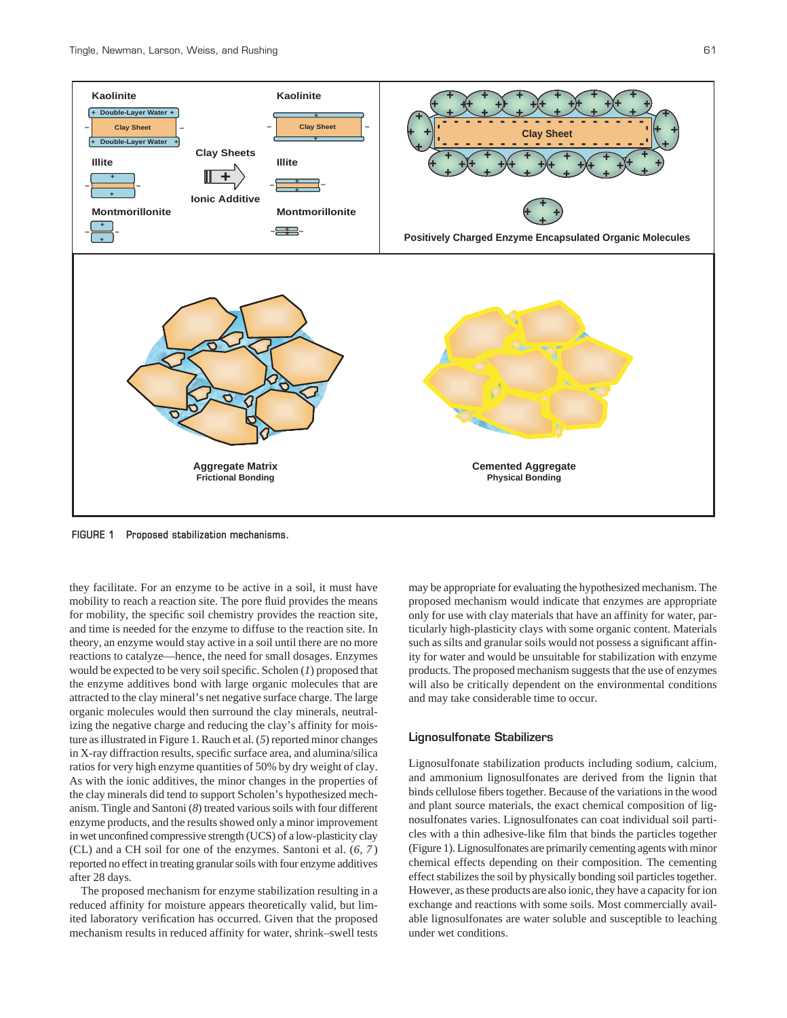

**FIGURE 1 Proposed stabilization mechanisms.**

they facilitate. For an enzyme to be active in a soil, it must have mobility to reach a reaction site. The pore fluid provides the means for mobility, the specific soil chemistry provides the reaction site, and time is needed for the enzyme to diffuse to the reaction site. In theory, an enzyme would stay active in a soil until there are no more reactions to catalyze—hence, the need for small dosages. Enzymes would be expected to be very soil specific. Scholen (*1*) proposed that the enzyme additives bond with large organic molecules that are attracted to the clay mineral's net negative surface charge. The large organic molecules would then surround the clay minerals, neutralizing the negative charge and reducing the clay's affinity for moisture as illustrated in Figure 1. Rauch et al. (*5*) reported minor changes in X-ray diffraction results, specific surface area, and alumina/silica ratios for very high enzyme quantities of 50% by dry weight of clay. As with the ionic additives, the minor changes in the properties of the clay minerals did tend to support Scholen's hypothesized mechanism. Tingle and Santoni (*8*) treated various soils with four different enzyme products, and the results showed only a minor improvement in wet unconfined compressive strength (UCS) of a low-plasticity clay (CL) and a CH soil for one of the enzymes. Santoni et al. (*6, 7* ) reported no effect in treating granular soils with four enzyme additives after 28 days.

The proposed mechanism for enzyme stabilization resulting in a reduced affinity for moisture appears theoretically valid, but limited laboratory verification has occurred. Given that the proposed mechanism results in reduced affinity for water, shrink–swell tests

may be appropriate for evaluating the hypothesized mechanism. The proposed mechanism would indicate that enzymes are appropriate only for use with clay materials that have an affinity for water, particularly high-plasticity clays with some organic content. Materials such as silts and granular soils would not possess a significant affinity for water and would be unsuitable for stabilization with enzyme products. The proposed mechanism suggests that the use of enzymes will also be critically dependent on the environmental conditions and may take considerable time to occur.

#### **Lignosulfonate Stabilizers**

Lignosulfonate stabilization products including sodium, calcium, and ammonium lignosulfonates are derived from the lignin that binds cellulose fibers together. Because of the variations in the wood and plant source materials, the exact chemical composition of lignosulfonates varies. Lignosulfonates can coat individual soil particles with a thin adhesive-like film that binds the particles together (Figure 1). Lignosulfonates are primarily cementing agents with minor chemical effects depending on their composition. The cementing effect stabilizes the soil by physically bonding soil particles together. However, as these products are also ionic, they have a capacity for ion exchange and reactions with some soils. Most commercially available lignosulfonates are water soluble and susceptible to leaching under wet conditions.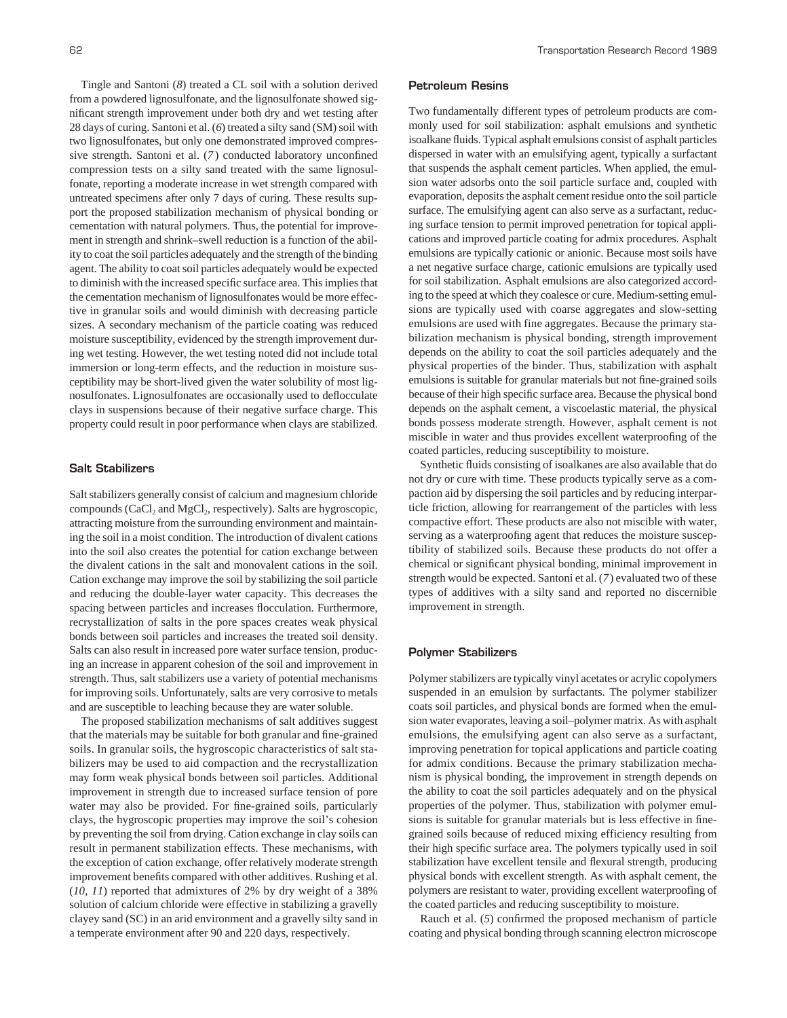Tingle and Santoni (*8*) treated a CL soil with a solution derived from a powdered lignosulfonate, and the lignosulfonate showed significant strength improvement under both dry and wet testing after 28 days of curing. Santoni et al. (*6*) treated a silty sand (SM) soil with two lignosulfonates, but only one demonstrated improved compressive strength. Santoni et al. (*7* ) conducted laboratory unconfined compression tests on a silty sand treated with the same lignosulfonate, reporting a moderate increase in wet strength compared with untreated specimens after only 7 days of curing. These results support the proposed stabilization mechanism of physical bonding or cementation with natural polymers. Thus, the potential for improvement in strength and shrink–swell reduction is a function of the ability to coat the soil particles adequately and the strength of the binding agent. The ability to coat soil particles adequately would be expected to diminish with the increased specific surface area. This implies that the cementation mechanism of lignosulfonates would be more effective in granular soils and would diminish with decreasing particle sizes. A secondary mechanism of the particle coating was reduced moisture susceptibility, evidenced by the strength improvement during wet testing. However, the wet testing noted did not include total immersion or long-term effects, and the reduction in moisture susceptibility may be short-lived given the water solubility of most lignosulfonates. Lignosulfonates are occasionally used to deflocculate clays in suspensions because of their negative surface charge. This property could result in poor performance when clays are stabilized.

#### **Salt Stabilizers**

Salt stabilizers generally consist of calcium and magnesium chloride compounds (CaCl<sub>2</sub> and MgCl<sub>2</sub>, respectively). Salts are hygroscopic, attracting moisture from the surrounding environment and maintaining the soil in a moist condition. The introduction of divalent cations into the soil also creates the potential for cation exchange between the divalent cations in the salt and monovalent cations in the soil. Cation exchange may improve the soil by stabilizing the soil particle and reducing the double-layer water capacity. This decreases the spacing between particles and increases flocculation. Furthermore, recrystallization of salts in the pore spaces creates weak physical bonds between soil particles and increases the treated soil density. Salts can also result in increased pore water surface tension, producing an increase in apparent cohesion of the soil and improvement in strength. Thus, salt stabilizers use a variety of potential mechanisms for improving soils. Unfortunately, salts are very corrosive to metals and are susceptible to leaching because they are water soluble.

The proposed stabilization mechanisms of salt additives suggest that the materials may be suitable for both granular and fine-grained soils. In granular soils, the hygroscopic characteristics of salt stabilizers may be used to aid compaction and the recrystallization may form weak physical bonds between soil particles. Additional improvement in strength due to increased surface tension of pore water may also be provided. For fine-grained soils, particularly clays, the hygroscopic properties may improve the soil's cohesion by preventing the soil from drying. Cation exchange in clay soils can result in permanent stabilization effects. These mechanisms, with the exception of cation exchange, offer relatively moderate strength improvement benefits compared with other additives. Rushing et al. (*10, 11*) reported that admixtures of 2% by dry weight of a 38% solution of calcium chloride were effective in stabilizing a gravelly clayey sand (SC) in an arid environment and a gravelly silty sand in a temperate environment after 90 and 220 days, respectively.

#### **Petroleum Resins**

Two fundamentally different types of petroleum products are commonly used for soil stabilization: asphalt emulsions and synthetic isoalkane fluids. Typical asphalt emulsions consist of asphalt particles dispersed in water with an emulsifying agent, typically a surfactant that suspends the asphalt cement particles. When applied, the emulsion water adsorbs onto the soil particle surface and, coupled with evaporation, deposits the asphalt cement residue onto the soil particle surface. The emulsifying agent can also serve as a surfactant, reducing surface tension to permit improved penetration for topical applications and improved particle coating for admix procedures. Asphalt emulsions are typically cationic or anionic. Because most soils have a net negative surface charge, cationic emulsions are typically used for soil stabilization. Asphalt emulsions are also categorized according to the speed at which they coalesce or cure. Medium-setting emulsions are typically used with coarse aggregates and slow-setting emulsions are used with fine aggregates. Because the primary stabilization mechanism is physical bonding, strength improvement depends on the ability to coat the soil particles adequately and the physical properties of the binder. Thus, stabilization with asphalt emulsions is suitable for granular materials but not fine-grained soils because of their high specific surface area. Because the physical bond depends on the asphalt cement, a viscoelastic material, the physical bonds possess moderate strength. However, asphalt cement is not miscible in water and thus provides excellent waterproofing of the coated particles, reducing susceptibility to moisture.

Synthetic fluids consisting of isoalkanes are also available that do not dry or cure with time. These products typically serve as a compaction aid by dispersing the soil particles and by reducing interparticle friction, allowing for rearrangement of the particles with less compactive effort. These products are also not miscible with water, serving as a waterproofing agent that reduces the moisture susceptibility of stabilized soils. Because these products do not offer a chemical or significant physical bonding, minimal improvement in strength would be expected. Santoni et al. (*7*) evaluated two of these types of additives with a silty sand and reported no discernible improvement in strength.

#### **Polymer Stabilizers**

Polymer stabilizers are typically vinyl acetates or acrylic copolymers suspended in an emulsion by surfactants. The polymer stabilizer coats soil particles, and physical bonds are formed when the emulsion water evaporates, leaving a soil–polymer matrix. As with asphalt emulsions, the emulsifying agent can also serve as a surfactant, improving penetration for topical applications and particle coating for admix conditions. Because the primary stabilization mechanism is physical bonding, the improvement in strength depends on the ability to coat the soil particles adequately and on the physical properties of the polymer. Thus, stabilization with polymer emulsions is suitable for granular materials but is less effective in finegrained soils because of reduced mixing efficiency resulting from their high specific surface area. The polymers typically used in soil stabilization have excellent tensile and flexural strength, producing physical bonds with excellent strength. As with asphalt cement, the polymers are resistant to water, providing excellent waterproofing of the coated particles and reducing susceptibility to moisture.

Rauch et al. (*5*) confirmed the proposed mechanism of particle coating and physical bonding through scanning electron microscope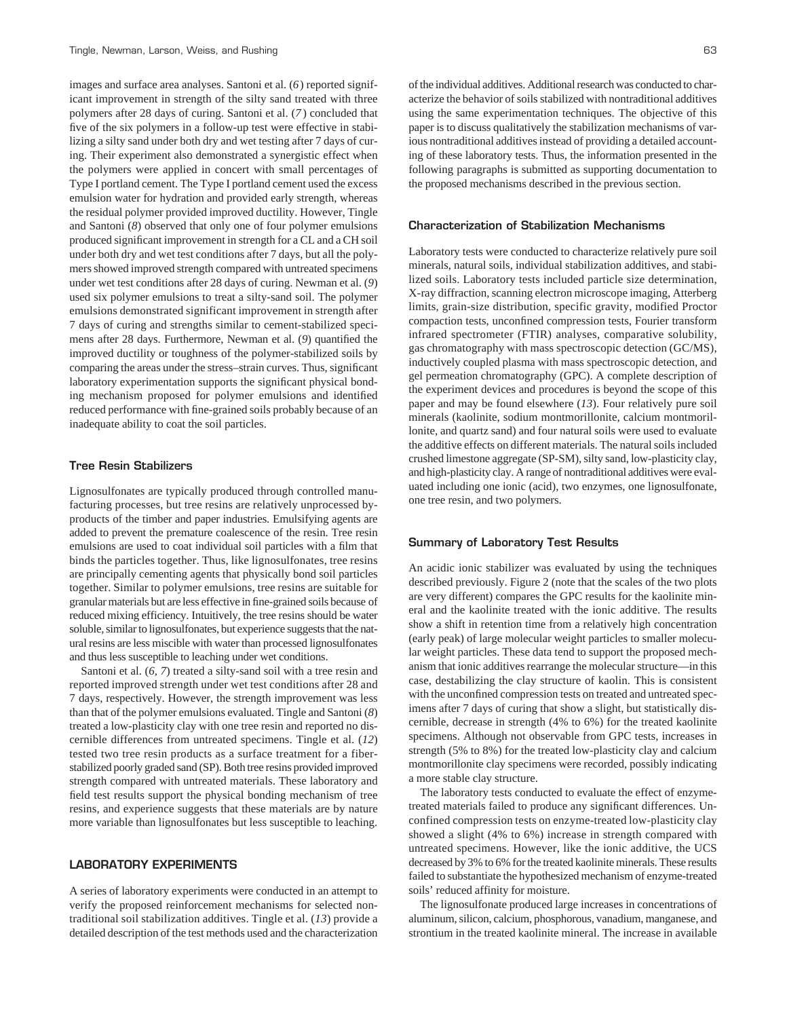images and surface area analyses. Santoni et al. (*6*) reported significant improvement in strength of the silty sand treated with three polymers after 28 days of curing. Santoni et al. (*7* ) concluded that five of the six polymers in a follow-up test were effective in stabilizing a silty sand under both dry and wet testing after 7 days of curing. Their experiment also demonstrated a synergistic effect when the polymers were applied in concert with small percentages of Type I portland cement. The Type I portland cement used the excess emulsion water for hydration and provided early strength, whereas the residual polymer provided improved ductility. However, Tingle and Santoni (*8*) observed that only one of four polymer emulsions produced significant improvement in strength for a CL and a CH soil under both dry and wet test conditions after 7 days, but all the polymers showed improved strength compared with untreated specimens under wet test conditions after 28 days of curing. Newman et al. (*9*) used six polymer emulsions to treat a silty-sand soil. The polymer emulsions demonstrated significant improvement in strength after 7 days of curing and strengths similar to cement-stabilized specimens after 28 days. Furthermore, Newman et al. (*9*) quantified the improved ductility or toughness of the polymer-stabilized soils by comparing the areas under the stress–strain curves. Thus, significant laboratory experimentation supports the significant physical bonding mechanism proposed for polymer emulsions and identified reduced performance with fine-grained soils probably because of an inadequate ability to coat the soil particles.

#### **Tree Resin Stabilizers**

Lignosulfonates are typically produced through controlled manufacturing processes, but tree resins are relatively unprocessed byproducts of the timber and paper industries. Emulsifying agents are added to prevent the premature coalescence of the resin. Tree resin emulsions are used to coat individual soil particles with a film that binds the particles together. Thus, like lignosulfonates, tree resins are principally cementing agents that physically bond soil particles together. Similar to polymer emulsions, tree resins are suitable for granular materials but are less effective in fine-grained soils because of reduced mixing efficiency. Intuitively, the tree resins should be water soluble, similar to lignosulfonates, but experience suggests that the natural resins are less miscible with water than processed lignosulfonates and thus less susceptible to leaching under wet conditions.

Santoni et al. (*6, 7*) treated a silty-sand soil with a tree resin and reported improved strength under wet test conditions after 28 and 7 days, respectively. However, the strength improvement was less than that of the polymer emulsions evaluated. Tingle and Santoni (*8*) treated a low-plasticity clay with one tree resin and reported no discernible differences from untreated specimens. Tingle et al. (*12*) tested two tree resin products as a surface treatment for a fiberstabilized poorly graded sand (SP). Both tree resins provided improved strength compared with untreated materials. These laboratory and field test results support the physical bonding mechanism of tree resins, and experience suggests that these materials are by nature more variable than lignosulfonates but less susceptible to leaching.

#### **LABORATORY EXPERIMENTS**

A series of laboratory experiments were conducted in an attempt to verify the proposed reinforcement mechanisms for selected nontraditional soil stabilization additives. Tingle et al. (*13*) provide a detailed description of the test methods used and the characterization of the individual additives. Additional research was conducted to characterize the behavior of soils stabilized with nontraditional additives using the same experimentation techniques. The objective of this paper is to discuss qualitatively the stabilization mechanisms of various nontraditional additives instead of providing a detailed accounting of these laboratory tests. Thus, the information presented in the following paragraphs is submitted as supporting documentation to the proposed mechanisms described in the previous section.

## **Characterization of Stabilization Mechanisms**

Laboratory tests were conducted to characterize relatively pure soil minerals, natural soils, individual stabilization additives, and stabilized soils. Laboratory tests included particle size determination, X-ray diffraction, scanning electron microscope imaging, Atterberg limits, grain-size distribution, specific gravity, modified Proctor compaction tests, unconfined compression tests, Fourier transform infrared spectrometer (FTIR) analyses, comparative solubility, gas chromatography with mass spectroscopic detection (GC/MS), inductively coupled plasma with mass spectroscopic detection, and gel permeation chromatography (GPC). A complete description of the experiment devices and procedures is beyond the scope of this paper and may be found elsewhere (*13*). Four relatively pure soil minerals (kaolinite, sodium montmorillonite, calcium montmorillonite, and quartz sand) and four natural soils were used to evaluate the additive effects on different materials. The natural soils included crushed limestone aggregate (SP-SM), silty sand, low-plasticity clay, and high-plasticity clay. A range of nontraditional additives were evaluated including one ionic (acid), two enzymes, one lignosulfonate, one tree resin, and two polymers.

#### **Summary of Laboratory Test Results**

An acidic ionic stabilizer was evaluated by using the techniques described previously. Figure 2 (note that the scales of the two plots are very different) compares the GPC results for the kaolinite mineral and the kaolinite treated with the ionic additive. The results show a shift in retention time from a relatively high concentration (early peak) of large molecular weight particles to smaller molecular weight particles. These data tend to support the proposed mechanism that ionic additives rearrange the molecular structure—in this case, destabilizing the clay structure of kaolin. This is consistent with the unconfined compression tests on treated and untreated specimens after 7 days of curing that show a slight, but statistically discernible, decrease in strength (4% to 6%) for the treated kaolinite specimens. Although not observable from GPC tests, increases in strength (5% to 8%) for the treated low-plasticity clay and calcium montmorillonite clay specimens were recorded, possibly indicating a more stable clay structure.

The laboratory tests conducted to evaluate the effect of enzymetreated materials failed to produce any significant differences. Unconfined compression tests on enzyme-treated low-plasticity clay showed a slight (4% to 6%) increase in strength compared with untreated specimens. However, like the ionic additive, the UCS decreased by 3% to 6% for the treated kaolinite minerals. These results failed to substantiate the hypothesized mechanism of enzyme-treated soils' reduced affinity for moisture.

The lignosulfonate produced large increases in concentrations of aluminum, silicon, calcium, phosphorous, vanadium, manganese, and strontium in the treated kaolinite mineral. The increase in available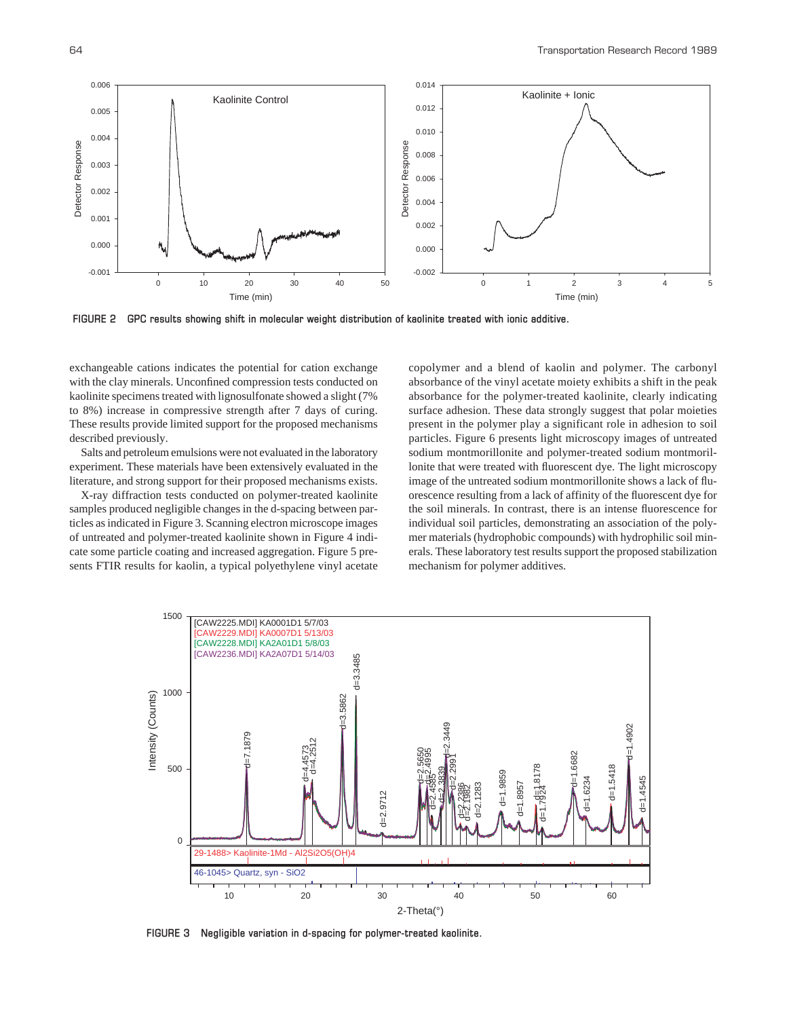

**FIGURE 2 GPC results showing shift in molecular weight distribution of kaolinite treated with ionic additive.**

exchangeable cations indicates the potential for cation exchange with the clay minerals. Unconfined compression tests conducted on kaolinite specimens treated with lignosulfonate showed a slight (7% to 8%) increase in compressive strength after 7 days of curing. These results provide limited support for the proposed mechanisms described previously.

Salts and petroleum emulsions were not evaluated in the laboratory experiment. These materials have been extensively evaluated in the literature, and strong support for their proposed mechanisms exists.

X-ray diffraction tests conducted on polymer-treated kaolinite samples produced negligible changes in the d-spacing between particles as indicated in Figure 3. Scanning electron microscope images of untreated and polymer-treated kaolinite shown in Figure 4 indicate some particle coating and increased aggregation. Figure 5 presents FTIR results for kaolin, a typical polyethylene vinyl acetate copolymer and a blend of kaolin and polymer. The carbonyl absorbance of the vinyl acetate moiety exhibits a shift in the peak absorbance for the polymer-treated kaolinite, clearly indicating surface adhesion. These data strongly suggest that polar moieties present in the polymer play a significant role in adhesion to soil particles. Figure 6 presents light microscopy images of untreated sodium montmorillonite and polymer-treated sodium montmorillonite that were treated with fluorescent dye. The light microscopy image of the untreated sodium montmorillonite shows a lack of fluorescence resulting from a lack of affinity of the fluorescent dye for the soil minerals. In contrast, there is an intense fluorescence for individual soil particles, demonstrating an association of the polymer materials (hydrophobic compounds) with hydrophilic soil minerals. These laboratory test results support the proposed stabilization mechanism for polymer additives.



**FIGURE 3 Negligible variation in d-spacing for polymer-treated kaolinite.**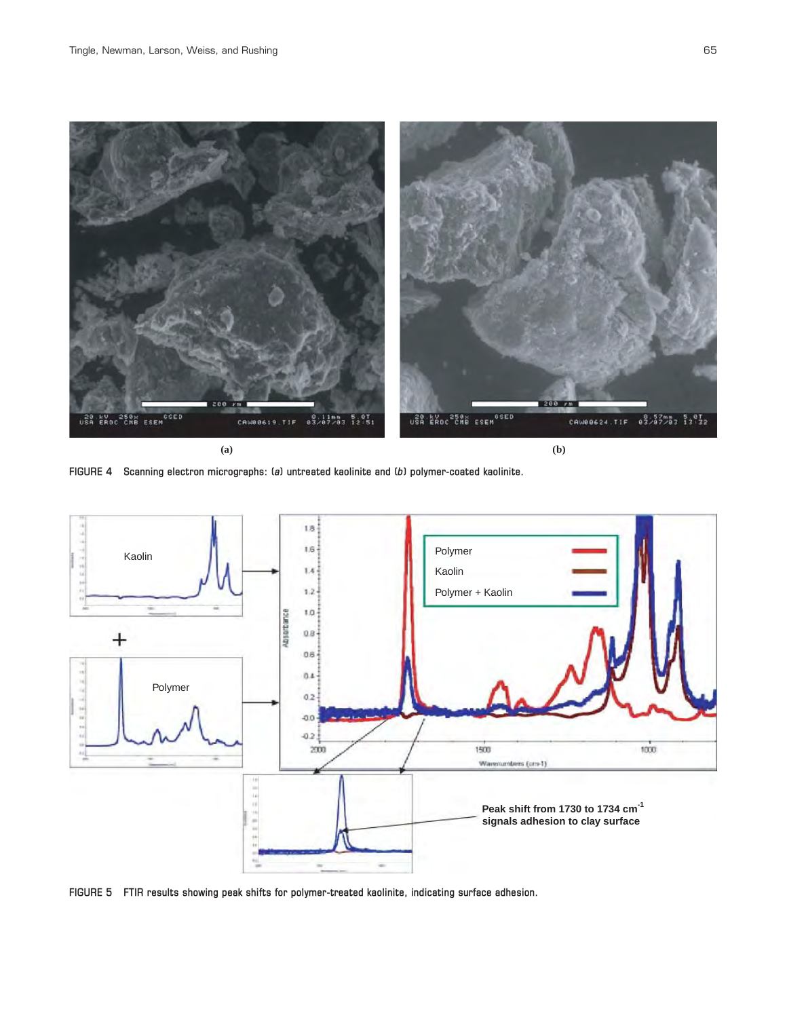

**(a) (b)**





**FIGURE 5 FTIR results showing peak shifts for polymer-treated kaolinite, indicating surface adhesion.**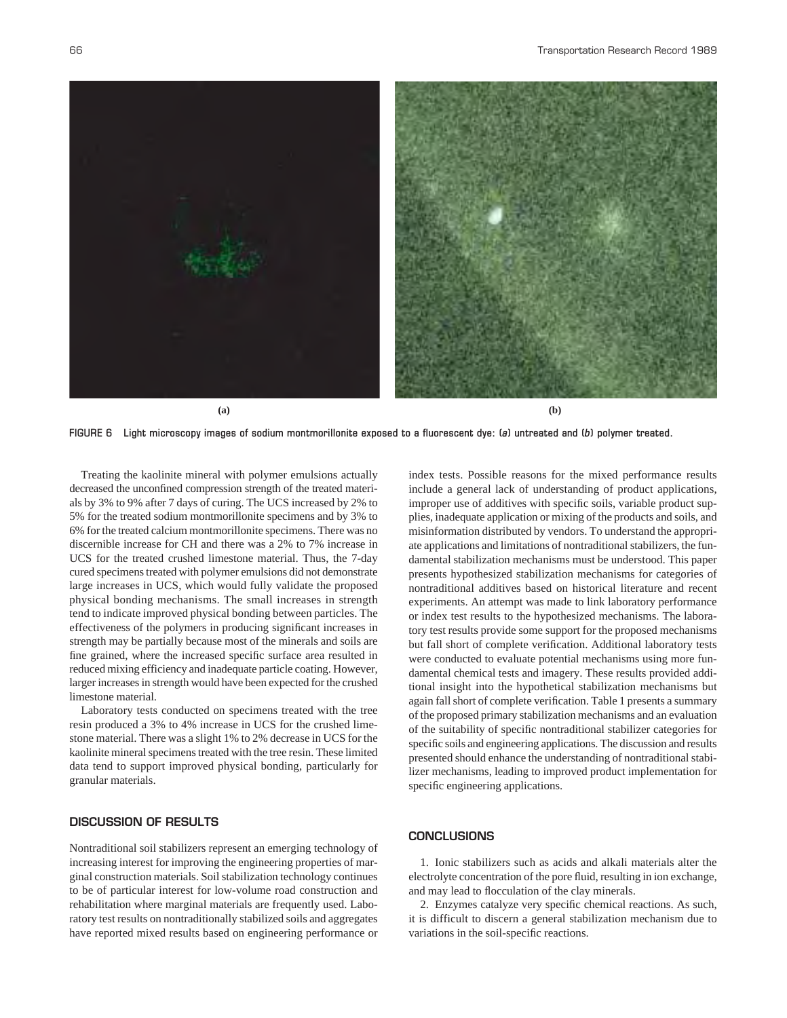

**FIGURE 6 Light microscopy images of sodium montmorillonite exposed to a fluorescent dye: (***a***) untreated and (***b***) polymer treated.**

Treating the kaolinite mineral with polymer emulsions actually decreased the unconfined compression strength of the treated materials by 3% to 9% after 7 days of curing. The UCS increased by 2% to 5% for the treated sodium montmorillonite specimens and by 3% to 6% for the treated calcium montmorillonite specimens. There was no discernible increase for CH and there was a 2% to 7% increase in UCS for the treated crushed limestone material. Thus, the 7-day cured specimens treated with polymer emulsions did not demonstrate large increases in UCS, which would fully validate the proposed physical bonding mechanisms. The small increases in strength tend to indicate improved physical bonding between particles. The effectiveness of the polymers in producing significant increases in strength may be partially because most of the minerals and soils are fine grained, where the increased specific surface area resulted in reduced mixing efficiency and inadequate particle coating. However, larger increases in strength would have been expected for the crushed limestone material.

Laboratory tests conducted on specimens treated with the tree resin produced a 3% to 4% increase in UCS for the crushed limestone material. There was a slight 1% to 2% decrease in UCS for the kaolinite mineral specimens treated with the tree resin. These limited data tend to support improved physical bonding, particularly for granular materials.

# **DISCUSSION OF RESULTS**

Nontraditional soil stabilizers represent an emerging technology of increasing interest for improving the engineering properties of marginal construction materials. Soil stabilization technology continues to be of particular interest for low-volume road construction and rehabilitation where marginal materials are frequently used. Laboratory test results on nontraditionally stabilized soils and aggregates have reported mixed results based on engineering performance or

index tests. Possible reasons for the mixed performance results include a general lack of understanding of product applications, improper use of additives with specific soils, variable product supplies, inadequate application or mixing of the products and soils, and misinformation distributed by vendors. To understand the appropriate applications and limitations of nontraditional stabilizers, the fundamental stabilization mechanisms must be understood. This paper presents hypothesized stabilization mechanisms for categories of nontraditional additives based on historical literature and recent experiments. An attempt was made to link laboratory performance or index test results to the hypothesized mechanisms. The laboratory test results provide some support for the proposed mechanisms but fall short of complete verification. Additional laboratory tests were conducted to evaluate potential mechanisms using more fundamental chemical tests and imagery. These results provided additional insight into the hypothetical stabilization mechanisms but again fall short of complete verification. Table 1 presents a summary of the proposed primary stabilization mechanisms and an evaluation of the suitability of specific nontraditional stabilizer categories for specific soils and engineering applications. The discussion and results presented should enhance the understanding of nontraditional stabilizer mechanisms, leading to improved product implementation for specific engineering applications.

# **CONCLUSIONS**

1. Ionic stabilizers such as acids and alkali materials alter the electrolyte concentration of the pore fluid, resulting in ion exchange, and may lead to flocculation of the clay minerals.

2. Enzymes catalyze very specific chemical reactions. As such, it is difficult to discern a general stabilization mechanism due to variations in the soil-specific reactions.